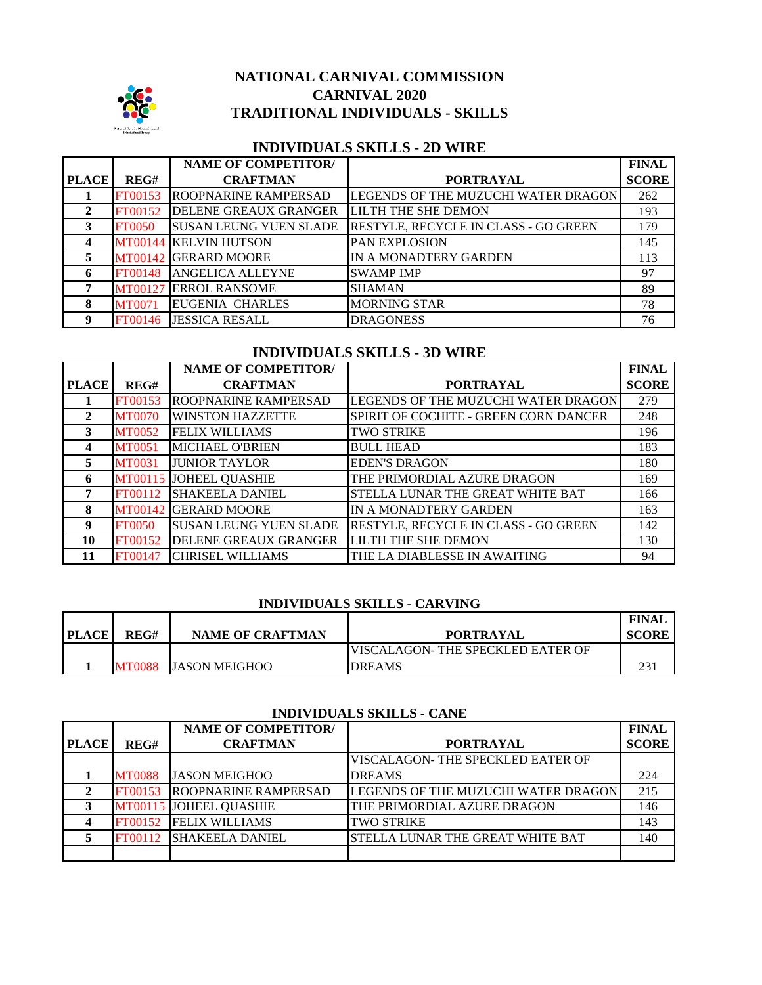

## **NATIONAL CARNIVAL COMMISSION CARNIVAL 2020 TRADITIONAL INDIVIDUALS - SKILLS**

## **INDIVIDUALS SKILLS - 2D WIRE**

|              |               | <b>NAME OF COMPETITOR/</b>    |                                      | <b>FINAL</b> |
|--------------|---------------|-------------------------------|--------------------------------------|--------------|
| <b>PLACE</b> | REG#          | <b>CRAFTMAN</b>               | <b>PORTRAYAL</b>                     | <b>SCORE</b> |
|              | FT00153       | <b>ROOPNARINE RAMPERSAD</b>   | LEGENDS OF THE MUZUCHI WATER DRAGON  | 262          |
| 2            | FT00152       | DELENE GREAUX GRANGER         | <b>LILTH THE SHE DEMON</b>           | 193          |
| 3            | <b>FT0050</b> | <b>SUSAN LEUNG YUEN SLADE</b> | RESTYLE, RECYCLE IN CLASS - GO GREEN | 179          |
| 4            |               | <b>MT00144 KELVIN HUTSON</b>  | PAN EXPLOSION                        | 145          |
| 5            |               | MT00142 GERARD MOORE          | IN A MONADTERY GARDEN                | 113          |
| 6            | FT00148       | <b>ANGELICA ALLEYNE</b>       | <b>SWAMP IMP</b>                     | 97           |
|              | MT00127       | <b>ERROL RANSOME</b>          | <b>SHAMAN</b>                        | 89           |
| 8            | <b>MT0071</b> | <b>EUGENIA CHARLES</b>        | <b>MORNING STAR</b>                  | 78           |
| 9            | FT00146       | <b>JESSICA RESALL</b>         | <b>DRAGONESS</b>                     | 76           |

## **INDIVIDUALS SKILLS - 3D WIRE**

|              |               | <b>NAME OF COMPETITOR/</b>    |                                       | <b>FINAL</b> |
|--------------|---------------|-------------------------------|---------------------------------------|--------------|
| <b>PLACE</b> | REG#          | <b>CRAFTMAN</b>               | <b>PORTRAYAL</b>                      | <b>SCORE</b> |
|              | FT00153       | <b>ROOPNARINE RAMPERSAD</b>   | LEGENDS OF THE MUZUCHI WATER DRAGON   | 279          |
| 2            | <b>MT0070</b> | <b>WINSTON HAZZETTE</b>       | SPIRIT OF COCHITE - GREEN CORN DANCER | 248          |
| 3            | <b>MT0052</b> | <b>FELIX WILLIAMS</b>         | <b>TWO STRIKE</b>                     | 196          |
| 4            | <b>MT0051</b> | <b>MICHAEL O'BRIEN</b>        | <b>BULL HEAD</b>                      | 183          |
| 5            | <b>MT0031</b> | <b>JUNIOR TAYLOR</b>          | <b>EDEN'S DRAGON</b>                  | 180          |
| 6            | MT00115       | <b>JOHEEL QUASHIE</b>         | THE PRIMORDIAL AZURE DRAGON           | 169          |
| 7            | FT00112       | <b>SHAKEELA DANIEL</b>        | STELLA LUNAR THE GREAT WHITE BAT      | 166          |
| 8            | MT00142       | <b>GERARD MOORE</b>           | IN A MONADTERY GARDEN                 | 163          |
| 9            | <b>FT0050</b> | <b>SUSAN LEUNG YUEN SLADE</b> | RESTYLE, RECYCLE IN CLASS - GO GREEN  | 142          |
| 10           | FT00152       | DELENE GREAUX GRANGER         | <b>LILTH THE SHE DEMON</b>            | 130          |
| 11           | FT00147       | <b>CHRISEL WILLIAMS</b>       | THE LA DIABLESSE IN AWAITING          | 94           |

## **INDIVIDUALS SKILLS - CARVING**

| <b>PLACE</b> | REG#   | <b>NAME OF CRAFTMAN</b> | <b>PORTRAYAL</b>                  | <b>FINAL</b><br><b>SCORE</b> |
|--------------|--------|-------------------------|-----------------------------------|------------------------------|
|              |        |                         | VISCALAGON- THE SPECKLED EATER OF |                              |
|              | MT0088 | IJASON MEIGHOO          | <b>DREAMS</b>                     |                              |

#### **INDIVIDUALS SKILLS - CANE**

|              |               | <b>NAME OF COMPETITOR/</b>  |                                     | <b>FINAL</b> |
|--------------|---------------|-----------------------------|-------------------------------------|--------------|
| <b>PLACE</b> | REG#          | <b>CRAFTMAN</b>             | <b>PORTRAYAL</b>                    | <b>SCORE</b> |
|              |               |                             | VISCALAGON- THE SPECKLED EATER OF   |              |
|              | <b>MT0088</b> | <b>JASON MEIGHOO</b>        | <b>DREAMS</b>                       | 224          |
|              | FT00153       | <b>ROOPNARINE RAMPERSAD</b> | LEGENDS OF THE MUZUCHI WATER DRAGON | 215          |
|              |               | MT00115 JOHEEL QUASHIE      | THE PRIMORDIAL AZURE DRAGON         | 146          |
|              | FT00152       | <b>FELIX WILLIAMS</b>       | TWO STRIKE                          | 143          |
|              | FT00112       | <b>ISHAKEELA DANIEL</b>     | STELLA LUNAR THE GREAT WHITE BAT    | 140          |
|              |               |                             |                                     |              |